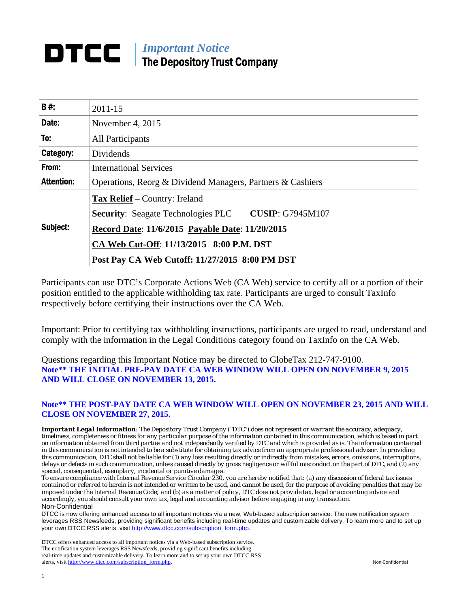# *Important Notice*  The Depository Trust Company

| <b>B#:</b>        | $2011 - 15$                                                                                                  |  |  |  |  |
|-------------------|--------------------------------------------------------------------------------------------------------------|--|--|--|--|
| Date:             | November 4, 2015                                                                                             |  |  |  |  |
| To:               | All Participants                                                                                             |  |  |  |  |
| Category:         | Dividends                                                                                                    |  |  |  |  |
| From:             | <b>International Services</b>                                                                                |  |  |  |  |
| <b>Attention:</b> | Operations, Reorg & Dividend Managers, Partners & Cashiers                                                   |  |  |  |  |
| Subject:          | <b>Tax Relief</b> – Country: Ireland<br><b>CUSIP: G7945M107</b><br><b>Security:</b> Seagate Technologies PLC |  |  |  |  |
|                   | Record Date: 11/6/2015 Payable Date: 11/20/2015                                                              |  |  |  |  |
|                   | CA Web Cut-Off: 11/13/2015 8:00 P.M. DST                                                                     |  |  |  |  |
|                   | Post Pay CA Web Cutoff: 11/27/2015 8:00 PM DST                                                               |  |  |  |  |

Participants can use DTC's Corporate Actions Web (CA Web) service to certify all or a portion of their position entitled to the applicable withholding tax rate. Participants are urged to consult TaxInfo respectively before certifying their instructions over the CA Web.

Important: Prior to certifying tax withholding instructions, participants are urged to read, understand and comply with the information in the Legal Conditions category found on TaxInfo on the CA Web.

Questions regarding this Important Notice may be directed to GlobeTax 212-747-9100. **Note\*\* THE INITIAL PRE-PAY DATE CA WEB WINDOW WILL OPEN ON NOVEMBER 9, 2015 AND WILL CLOSE ON NOVEMBER 13, 2015.** 

#### **Note\*\* THE POST-PAY DATE CA WEB WINDOW WILL OPEN ON NOVEMBER 23, 2015 AND WILL CLOSE ON NOVEMBER 27, 2015.**

*Important Legal Information: The Depository Trust Company ("DTC") does not represent or warrant the accuracy, adequacy, timeliness, completeness or fitness for any particular purpose of the information contained in this communication, which is based in part on information obtained from third parties and not independently verified by DTC and which is provided as is. The information contained in this communication is not intended to be a substitute for obtaining tax advice from an appropriate professional advisor. In providing this communication, DTC shall not be liable for (1) any loss resulting directly or indirectly from mistakes, errors, omissions, interruptions, delays or defects in such communication, unless caused directly by gross negligence or willful misconduct on the part of DTC, and (2) any special, consequential, exemplary, incidental or punitive damages.* 

*To ensure compliance with Internal Revenue Service Circular 230, you are hereby notified that: (a) any discussion of federal tax issues contained or referred to herein is not intended or written to be used, and cannot be used, for the purpose of avoiding penalties that may be imposed under the Internal Revenue Code; and (b) as a matter of policy, DTC does not provide tax, legal or accounting advice and accordingly, you should consult your own tax, legal and accounting advisor before engaging in any transaction.* Non-Confidential

DTCC is now offering enhanced access to all important notices via a new, Web-based subscription service. The new notification system leverages RSS Newsfeeds, providing significant benefits including real-time updates and customizable delivery. To learn more and to set up your own DTCC RSS alerts, visit http://www.dtcc.com/subscription\_form.php.

DTCC offers enhanced access to all important notices via a Web-based subscription service. The notification system leverages RSS Newsfeeds, providing significant benefits including real-time updates and customizable delivery. To learn more and to set up your own DTCC RSS alerts, visit http://www.dtcc.com/subscription\_form.php. Non-Confidential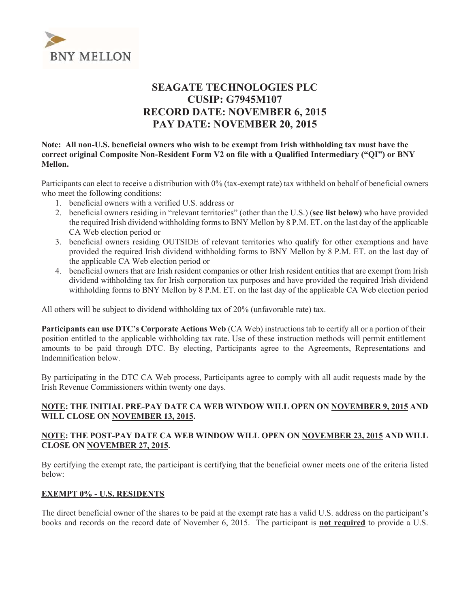

# **SEAGATE TECHNOLOGIES PLC CUSIP: G7945M107 RECORD DATE: NOVEMBER 6, 2015 PAY DATE: NOVEMBER 20, 2015**

#### Note: All non-U.S. beneficial owners who wish to be exempt from Irish withholding tax must have the correct original Composite Non-Resident Form V2 on file with a Qualified Intermediary ("QI") or BNY Mellon.

Participants can elect to receive a distribution with 0% (tax-exempt rate) tax withheld on behalf of beneficial owners who meet the following conditions:

- 1. beneficial owners with a verified U.S. address or
- 2. beneficial owners residing in "relevant territories" (other than the U.S.) (see list below) who have provided the required Irish dividend withholding forms to BNY Mellon by 8 P.M. ET, on the last day of the applicable CA Web election period or
- 3. beneficial owners residing OUTSIDE of relevant territories who qualify for other exemptions and have provided the required Irish dividend withholding forms to BNY Mellon by 8 P.M. ET, on the last day of the applicable CA Web election period or
- 4. beneficial owners that are Irish resident companies or other Irish resident entities that are exempt from Irish dividend withholding tax for Irish corporation tax purposes and have provided the required Irish dividend withholding forms to BNY Mellon by 8 P.M. ET. on the last day of the applicable CA Web election period

All others will be subject to dividend withholding tax of 20% (unfavorable rate) tax.

Participants can use DTC's Corporate Actions Web (CA Web) instructions tab to certify all or a portion of their position entitled to the applicable withholding tax rate. Use of these instruction methods will permit entitlement amounts to be paid through DTC. By electing, Participants agree to the Agreements, Representations and Indemnification below.

By participating in the DTC CA Web process, Participants agree to comply with all audit requests made by the Irish Revenue Commissioners within twenty one days.

# NOTE: THE INITIAL PRE-PAY DATE CA WEB WINDOW WILL OPEN ON NOVEMBER 9, 2015 AND WILL CLOSE ON NOVEMBER 13, 2015.

# NOTE: THE POST-PAY DATE CA WEB WINDOW WILL OPEN ON NOVEMBER 23, 2015 AND WILL **CLOSE ON NOVEMBER 27, 2015.**

By certifying the exempt rate, the participant is certifying that the beneficial owner meets one of the criteria listed below:

# **EXEMPT 0% - U.S. RESIDENTS**

The direct beneficial owner of the shares to be paid at the exempt rate has a valid U.S. address on the participant's books and records on the record date of November 6, 2015. The participant is **not required** to provide a U.S.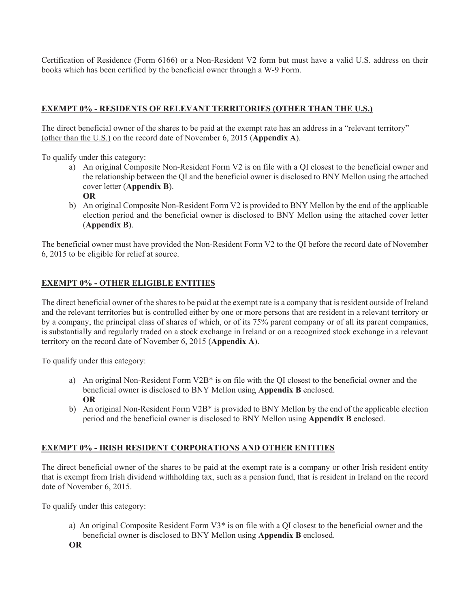Certification of Residence (Form 6166) or a Non-Resident V2 form but must have a valid U.S. address on their books which has been certified by the beneficial owner through a W-9 Form.

# **EXEMPT 0% - RESIDENTS OF RELEVANT TERRITORIES (OTHER THAN THE U.S.)**

The direct beneficial owner of the shares to be paid at the exempt rate has an address in a "relevant territory" (other than the U.S.) on the record date of November 6, 2015 (Appendix A).

To qualify under this category:

- a) An original Composite Non-Resident Form V2 is on file with a QI closest to the beneficial owner and the relationship between the QI and the beneficial owner is disclosed to BNY Mellon using the attached cover letter (Appendix B). **OR**
- b) An original Composite Non-Resident Form V2 is provided to BNY Mellon by the end of the applicable election period and the beneficial owner is disclosed to BNY Mellon using the attached cover letter  $(A$ ppendix  $B)$ .

The beneficial owner must have provided the Non-Resident Form V2 to the QI before the record date of November 6, 2015 to be eligible for relief at source.

#### **EXEMPT 0% - OTHER ELIGIBLE ENTITIES**

The direct beneficial owner of the shares to be paid at the exempt rate is a company that is resident outside of Ireland and the relevant territories but is controlled either by one or more persons that are resident in a relevant territory or by a company, the principal class of shares of which, or of its 75% parent company or of all its parent companies, is substantially and regularly traded on a stock exchange in Ireland or on a recognized stock exchange in a relevant territory on the record date of November 6, 2015 (Appendix A).

To qualify under this category:

- a) An original Non-Resident Form V2B<sup>\*</sup> is on file with the QI closest to the beneficial owner and the beneficial owner is disclosed to BNY Mellon using Appendix B enclosed. **OR**
- b) An original Non-Resident Form V2B<sup>\*</sup> is provided to BNY Mellon by the end of the applicable election period and the beneficial owner is disclosed to BNY Mellon using **Appendix B** enclosed.

# **EXEMPT 0% - IRISH RESIDENT CORPORATIONS AND OTHER ENTITIES**

The direct beneficial owner of the shares to be paid at the exempt rate is a company or other Irish resident entity that is exempt from Irish dividend withholding tax, such as a pension fund, that is resident in Ireland on the record date of November 6, 2015.

To qualify under this category:

- a) An original Composite Resident Form V3<sup>\*</sup> is on file with a QI closest to the beneficial owner and the beneficial owner is disclosed to BNY Mellon using Appendix B enclosed.
- **OR**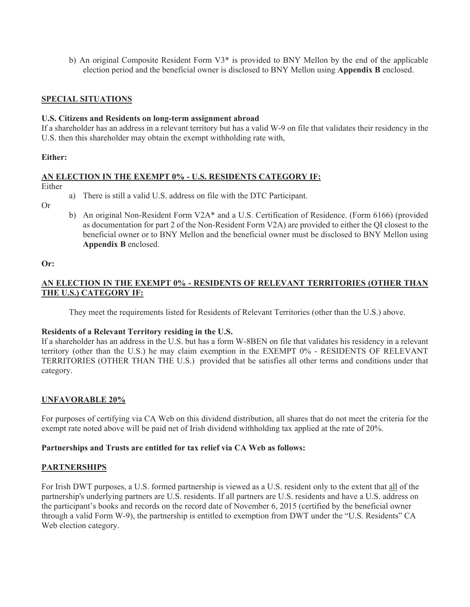b) An original Composite Resident Form  $V3^*$  is provided to BNY Mellon by the end of the applicable election period and the beneficial owner is disclosed to BNY Mellon using **Appendix B** enclosed.

# **SPECIAL SITUATIONS**

#### U.S. Citizens and Residents on long-term assignment abroad

If a shareholder has an address in a relevant territory but has a valid W-9 on file that validates their residency in the U.S. then this shareholder may obtain the exempt withholding rate with.

#### Either:

#### AN ELECTION IN THE EXEMPT 0% - U.S. RESIDENTS CATEGORY IF:

Either

a) There is still a valid U.S. address on file with the DTC Participant.

 $Or$ 

b) An original Non-Resident Form V2A\* and a U.S. Certification of Residence. (Form 6166) (provided as documentation for part 2 of the Non-Resident Form V2A) are provided to either the QI closest to the beneficial owner or to BNY Mellon and the beneficial owner must be disclosed to BNY Mellon using Appendix B enclosed.

 $Or:$ 

# AN ELECTION IN THE EXEMPT 0% - RESIDENTS OF RELEVANT TERRITORIES (OTHER THAN THE U.S.) CATEGORY IF:

They meet the requirements listed for Residents of Relevant Territories (other than the U.S.) above.

#### Residents of a Relevant Territory residing in the U.S.

If a shareholder has an address in the U.S. but has a form W-8BEN on file that validates his residency in a relevant territory (other than the U.S.) he may claim exemption in the EXEMPT 0% - RESIDENTS OF RELEVANT TERRITORIES (OTHER THAN THE U.S.) provided that he satisfies all other terms and conditions under that category.

#### **UNFAVORABLE 20%**

For purposes of certifying via CA Web on this dividend distribution, all shares that do not meet the criteria for the exempt rate noted above will be paid net of Irish dividend withholding tax applied at the rate of 20%.

#### Partnerships and Trusts are entitled for tax relief via CA Web as follows:

#### **PARTNERSHIPS**

For Irish DWT purposes, a U.S. formed partnership is viewed as a U.S. resident only to the extent that all of the partnership's underlying partners are U.S. residents. If all partners are U.S. residents and have a U.S. address on the participant's books and records on the record date of November 6, 2015 (certified by the beneficial owner through a valid Form W-9), the partnership is entitled to exemption from DWT under the "U.S. Residents" CA Web election category.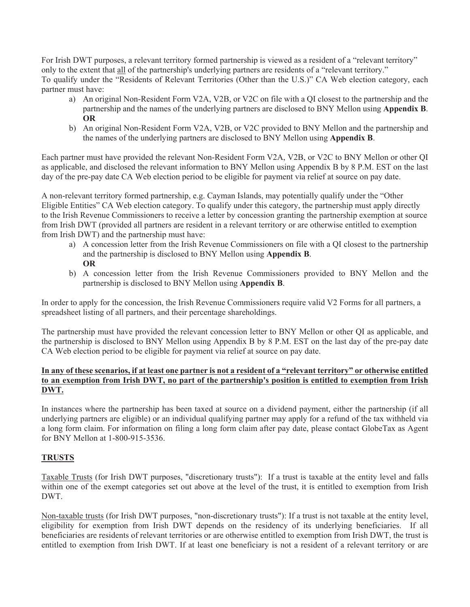For Irish DWT purposes, a relevant territory formed partnership is viewed as a resident of a "relevant territory" only to the extent that all of the partnership's underlying partners are residents of a "relevant territory." To qualify under the "Residents of Relevant Territories (Other than the U.S.)" CA Web election category, each partner must have:

- a) An original Non-Resident Form V2A, V2B, or V2C on file with a QI closest to the partnership and the partnership and the names of the underlying partners are disclosed to BNY Mellon using Appendix B. **OR**
- b) An original Non-Resident Form V2A, V2B, or V2C provided to BNY Mellon and the partnership and the names of the underlying partners are disclosed to BNY Mellon using **Appendix B**.

Each partner must have provided the relevant Non-Resident Form V2A, V2B, or V2C to BNY Mellon or other QI as applicable, and disclosed the relevant information to BNY Mellon using Appendix B by 8 P.M. EST on the last day of the pre-pay date CA Web election period to be eligible for payment via relief at source on pay date.

A non-relevant territory formed partnership, e.g. Cayman Islands, may potentially qualify under the "Other" Eligible Entities" CA Web election category. To qualify under this category, the partnership must apply directly to the Irish Revenue Commissioners to receive a letter by concession granting the partnership exemption at source from Irish DWT (provided all partners are resident in a relevant territory or are otherwise entitled to exemption from Irish DWT) and the partnership must have:

- a) A concession letter from the Irish Revenue Commissioners on file with a QI closest to the partnership and the partnership is disclosed to BNY Mellon using Appendix B. **OR**
- b) A concession letter from the Irish Revenue Commissioners provided to BNY Mellon and the partnership is disclosed to BNY Mellon using Appendix B.

In order to apply for the concession, the Irish Revenue Commissioners require valid V2 Forms for all partners, a spreadsheet listing of all partners, and their percentage shareholdings.

The partnership must have provided the relevant concession letter to BNY Mellon or other QI as applicable, and the partnership is disclosed to BNY Mellon using Appendix B by 8 P.M. EST on the last day of the pre-pay date CA Web election period to be eligible for payment via relief at source on pay date.

# In any of these scenarios, if at least one partner is not a resident of a "relevant territory" or otherwise entitled to an exemption from Irish DWT, no part of the partnership's position is entitled to exemption from Irish DWT.

In instances where the partnership has been taxed at source on a dividend payment, either the partnership (if all underlying partners are eligible) or an individual qualifying partner may apply for a refund of the tax withheld via a long form claim. For information on filing a long form claim after pay date, please contact GlobeTax as Agent for BNY Mellon at 1-800-915-3536.

# **TRUSTS**

Taxable Trusts (for Irish DWT purposes, "discretionary trusts"): If a trust is taxable at the entity level and falls within one of the exempt categories set out above at the level of the trust, it is entitled to exemption from Irish DWT.

Non-taxable trusts (for Irish DWT purposes, "non-discretionary trusts"): If a trust is not taxable at the entity level, eligibility for exemption from Irish DWT depends on the residency of its underlying beneficiaries. If all beneficiaries are residents of relevant territories or are otherwise entitled to exemption from Irish DWT, the trust is entitled to exemption from Irish DWT. If at least one beneficiary is not a resident of a relevant territory or are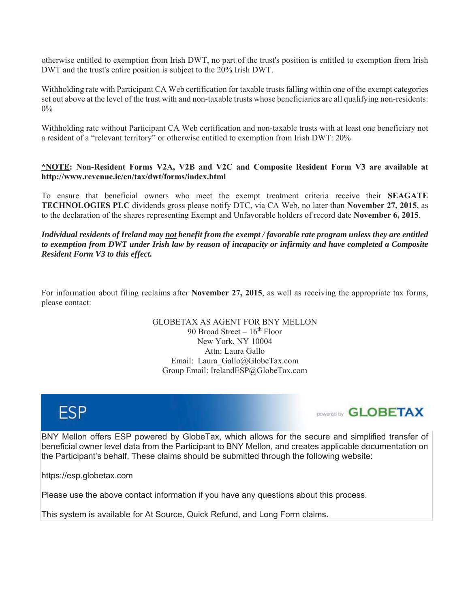otherwise entitled to exemption from Irish DWT, no part of the trust's position is entitled to exemption from Irish DWT and the trust's entire position is subject to the 20% Irish DWT.

Withholding rate with Participant CA Web certification for taxable trusts falling within one of the exempt categories set out above at the level of the trust with and non-taxable trusts whose beneficiaries are all qualifying non-residents:  $0\%$ 

Withholding rate without Participant CA Web certification and non-taxable trusts with at least one beneficiary not a resident of a "relevant territory" or otherwise entitled to exemption from Irish DWT: 20%

# \*NOTE: Non-Resident Forms V2A, V2B and V2C and Composite Resident Form V3 are available at http://www.revenue.ie/en/tax/dwt/forms/index.html

To ensure that beneficial owners who meet the exempt treatment criteria receive their SEAGATE **TECHNOLOGIES PLC** dividends gross please notify DTC, via CA Web, no later than November 27, 2015, as to the declaration of the shares representing Exempt and Unfavorable holders of record date November 6, 2015.

Individual residents of Ireland may <u>not</u> benefit from the exempt / favorable rate program unless they are entitled to exemption from DWT under Irish law by reason of incapacity or infirmity and have completed a Composite **Resident Form V3 to this effect.** 

For information about filing reclaims after **November 27, 2015**, as well as receiving the appropriate tax forms, please contact:

> **GLOBETAX AS AGENT FOR BNY MELLON** 90 Broad Street –  $16^{th}$  Floor New York, NY 10004 Attn: Laura Gallo Email: Laura Gallo@GlobeTax.com Group Email: IrelandESP@GlobeTax.com





BNY Mellon offers ESP powered by GlobeTax, which allows for the secure and simplified transfer of beneficial owner level data from the Participant to BNY Mellon, and creates applicable documentation on the Participant's behalf. These claims should be submitted through the following website:

https://esp.globetax.com

Please use the above contact information if you have any questions about this process.

This system is available for At Source, Quick Refund, and Long Form claims.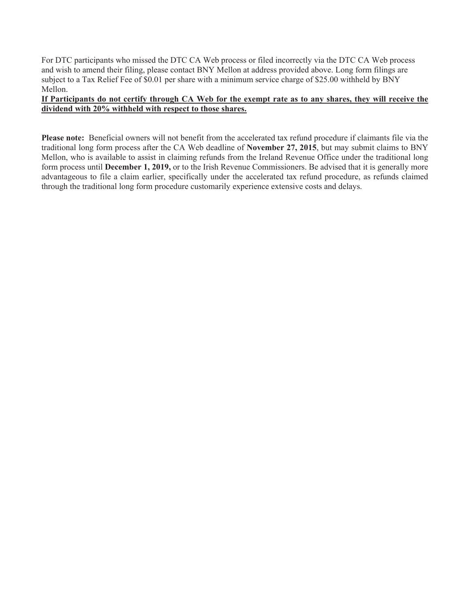For DTC participants who missed the DTC CA Web process or filed incorrectly via the DTC CA Web process and wish to amend their filing, please contact BNY Mellon at address provided above. Long form filings are subject to a Tax Relief Fee of \$0.01 per share with a minimum service charge of \$25.00 withheld by BNY Mellon.

# If Participants do not certify through CA Web for the exempt rate as to any shares, they will receive the dividend with 20% withheld with respect to those shares.

Please note: Beneficial owners will not benefit from the accelerated tax refund procedure if claimants file via the traditional long form process after the CA Web deadline of November 27, 2015, but may submit claims to BNY Mellon, who is available to assist in claiming refunds from the Ireland Revenue Office under the traditional long form process until December 1, 2019, or to the Irish Revenue Commissioners. Be advised that it is generally more advantageous to file a claim earlier, specifically under the accelerated tax refund procedure, as refunds claimed through the traditional long form procedure customarily experience extensive costs and delays.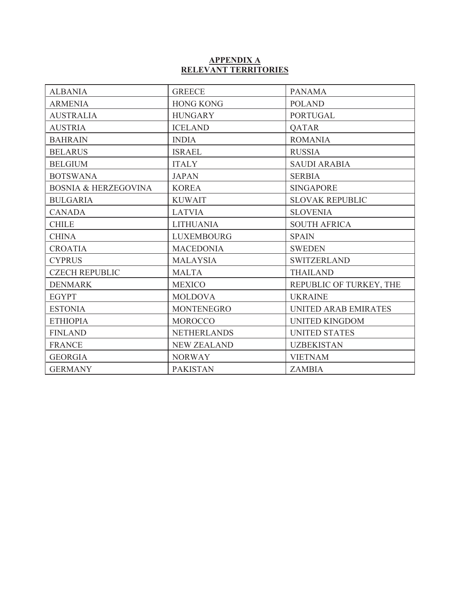# APPENDIX A<br>RELEVANT TERRITORIES

| <b>ALBANIA</b>                  | <b>GREECE</b>      | <b>PANAMA</b>               |  |
|---------------------------------|--------------------|-----------------------------|--|
| <b>ARMENIA</b>                  | <b>HONG KONG</b>   | <b>POLAND</b>               |  |
| <b>AUSTRALIA</b>                | <b>HUNGARY</b>     | <b>PORTUGAL</b>             |  |
| <b>AUSTRIA</b>                  | <b>ICELAND</b>     | <b>QATAR</b>                |  |
| <b>BAHRAIN</b>                  | <b>INDIA</b>       | <b>ROMANIA</b>              |  |
| <b>BELARUS</b>                  | <b>ISRAEL</b>      | <b>RUSSIA</b>               |  |
| <b>BELGIUM</b>                  | <b>ITALY</b>       | <b>SAUDI ARABIA</b>         |  |
| <b>BOTSWANA</b>                 | <b>JAPAN</b>       | <b>SERBIA</b>               |  |
| <b>BOSNIA &amp; HERZEGOVINA</b> | <b>KOREA</b>       | <b>SINGAPORE</b>            |  |
| <b>BULGARIA</b>                 | <b>KUWAIT</b>      | <b>SLOVAK REPUBLIC</b>      |  |
| <b>CANADA</b>                   | <b>LATVIA</b>      | <b>SLOVENIA</b>             |  |
| <b>CHILE</b>                    | <b>LITHUANIA</b>   | <b>SOUTH AFRICA</b>         |  |
| <b>CHINA</b>                    | <b>LUXEMBOURG</b>  | <b>SPAIN</b>                |  |
| <b>CROATIA</b>                  | <b>MACEDONIA</b>   | <b>SWEDEN</b>               |  |
| <b>CYPRUS</b>                   | <b>MALAYSIA</b>    | <b>SWITZERLAND</b>          |  |
| <b>CZECH REPUBLIC</b>           | <b>MALTA</b>       | <b>THAILAND</b>             |  |
| <b>DENMARK</b>                  | <b>MEXICO</b>      | REPUBLIC OF TURKEY, THE     |  |
| <b>EGYPT</b>                    | <b>MOLDOVA</b>     | <b>UKRAINE</b>              |  |
| <b>ESTONIA</b>                  | <b>MONTENEGRO</b>  | <b>UNITED ARAB EMIRATES</b> |  |
| <b>ETHIOPIA</b>                 | <b>MOROCCO</b>     | <b>UNITED KINGDOM</b>       |  |
| <b>FINLAND</b>                  | <b>NETHERLANDS</b> | <b>UNITED STATES</b>        |  |
| <b>FRANCE</b>                   | <b>NEW ZEALAND</b> | <b>UZBEKISTAN</b>           |  |
| <b>GEORGIA</b>                  | <b>NORWAY</b>      | <b>VIETNAM</b>              |  |
| <b>GERMANY</b>                  | <b>PAKISTAN</b>    | <b>ZAMBIA</b>               |  |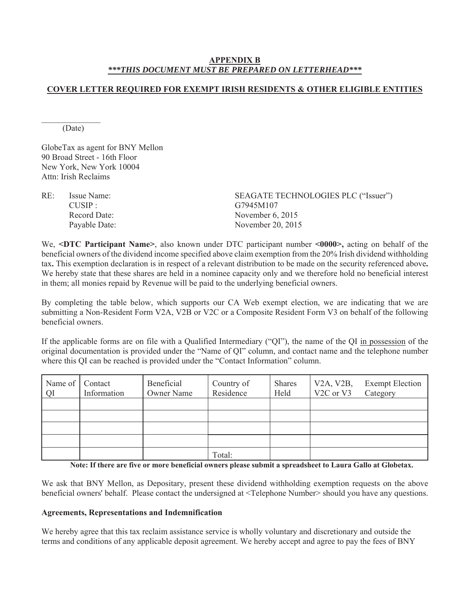# **APPENDIX B** \*\*\*THIS DOCUMENT MUST BE PREPARED ON LETTERHEAD\*\*\*

# **COVER LETTER REQUIRED FOR EXEMPT IRISH RESIDENTS & OTHER ELIGIBLE ENTITIES**

(Date)

GlobeTax as agent for BNY Mellon 90 Broad Street - 16th Floor New York, New York 10004 Attn<sup>-</sup> Irish Reclaims

| Issue Name:   | SEAGATE TECHNOLOGIES PLC ("Issuer") |
|---------------|-------------------------------------|
| CIISIP        | G7945M107                           |
| Record Date:  | November $6, 2015$                  |
| Payable Date: | November 20, 2015                   |
|               |                                     |

We, <DTC Participant Name>, also known under DTC participant number <0000>, acting on behalf of the beneficial owners of the dividend income specified above claim exemption from the 20% Irish dividend withholding tax. This exemption declaration is in respect of a relevant distribution to be made on the security referenced above. We hereby state that these shares are held in a nominee capacity only and we therefore hold no beneficial interest in them; all monies repaid by Revenue will be paid to the underlying beneficial owners.

By completing the table below, which supports our CA Web exempt election, we are indicating that we are submitting a Non-Resident Form V2A, V2B or V2C or a Composite Resident Form V3 on behalf of the following beneficial owners

If the applicable forms are on file with a Qualified Intermediary ("QI"), the name of the QI in possession of the original documentation is provided under the "Name of OI" column, and contact name and the telephone number where this OI can be reached is provided under the "Contact Information" column.

| Name of Contact<br><b>OI</b> | Information | Beneficial<br>Owner Name | Country of<br>Residence | <b>Shares</b><br>Held | V <sub>2</sub> A, V <sub>2</sub> B,<br>V <sub>2</sub> C or V <sub>3</sub> | <b>Exempt Election</b><br>Category |
|------------------------------|-------------|--------------------------|-------------------------|-----------------------|---------------------------------------------------------------------------|------------------------------------|
|                              |             |                          |                         |                       |                                                                           |                                    |
|                              |             |                          |                         |                       |                                                                           |                                    |
|                              |             |                          |                         |                       |                                                                           |                                    |
|                              |             |                          |                         |                       |                                                                           |                                    |
|                              |             |                          | Total:                  |                       |                                                                           |                                    |

Note: If there are five or more beneficial owners please submit a spreadsheet to Laura Gallo at Globetax.

We ask that BNY Mellon, as Depositary, present these dividend withholding exemption requests on the above beneficial owners' behalf. Please contact the undersigned at <Telephone Number> should you have any questions.

#### **Agreements, Representations and Indemnification**

We hereby agree that this tax reclaim assistance service is wholly voluntary and discretionary and outside the terms and conditions of any applicable deposit agreement. We hereby accept and agree to pay the fees of BNY